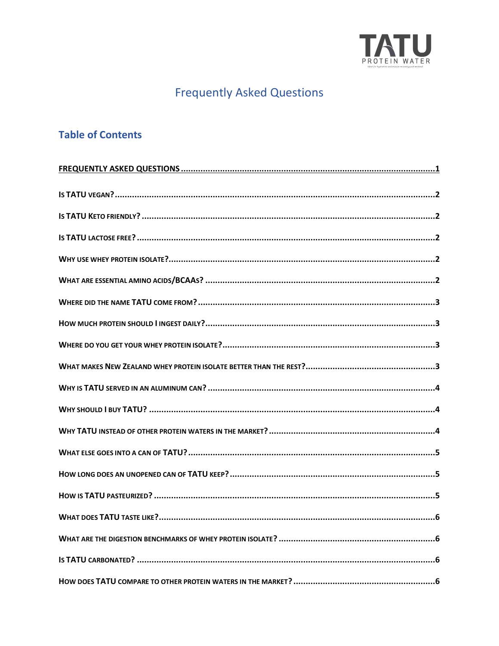

# **Frequently Asked Questions**

# <span id="page-0-0"></span>**Table of Contents**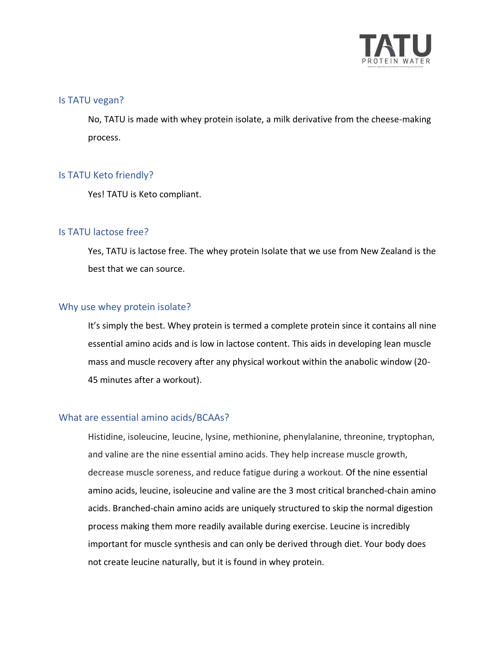

#### <span id="page-1-0"></span>Is TATU vegan?

No, TATU is made with whey protein isolate, a milk derivative from the cheese-making process.

#### <span id="page-1-1"></span>Is TATU Keto friendly?

Yes! TATU is Keto compliant.

## <span id="page-1-2"></span>Is TATU lactose free?

Yes, TATU is lactose free. The whey protein Isolate that we use from New Zealand is the best that we can source.

#### <span id="page-1-3"></span>Why use whey protein isolate?

It's simply the best. Whey protein is termed a complete protein since it contains all nine essential amino acids and is low in lactose content. This aids in developing lean muscle mass and muscle recovery after any physical workout within the anabolic window (20- 45 minutes after a workout).

#### <span id="page-1-4"></span>What are essential amino acids/BCAAs?

Histidine, isoleucine, leucine, lysine, methionine, phenylalanine, threonine, tryptophan, and valine are the nine essential amino acids. They help increase muscle growth, decrease muscle soreness, and reduce fatigue during a workout. Of the nine essential amino acids, leucine, isoleucine and valine are the 3 most critical branched-chain amino acids. Branched-chain amino acids are uniquely structured to skip the normal digestion process making them more readily available during exercise. Leucine is incredibly important for muscle synthesis and can only be derived through diet. Your body does not create leucine naturally, but it is found in whey protein.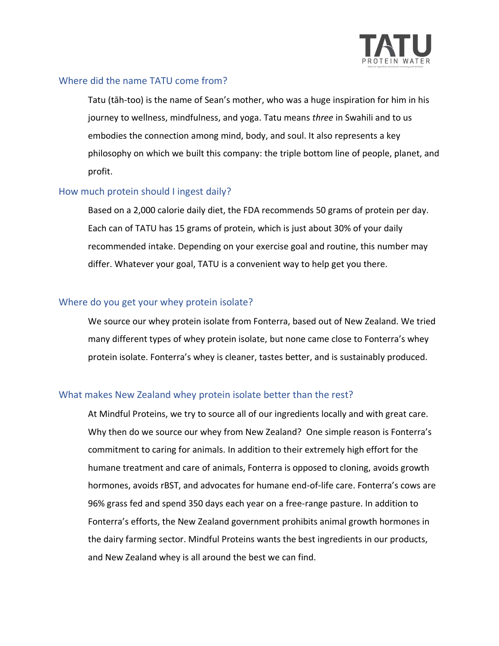

## <span id="page-2-0"></span>Where did the name TATU come from?

Tatu (tāh-too) is the name of Sean's mother, who was a huge inspiration for him in his journey to wellness, mindfulness, and yoga. Tatu means *three* in Swahili and to us embodies the connection among mind, body, and soul. It also represents a key philosophy on which we built this company: the triple bottom line of people, planet, and profit.

## <span id="page-2-1"></span>How much protein should I ingest daily?

Based on a 2,000 calorie daily diet, the FDA recommends 50 grams of protein per day. Each can of TATU has 15 grams of protein, which is just about 30% of your daily recommended intake. Depending on your exercise goal and routine, this number may differ. Whatever your goal, TATU is a convenient way to help get you there.

#### <span id="page-2-2"></span>Where do you get your whey protein isolate?

We source our whey protein isolate from Fonterra, based out of New Zealand. We tried many different types of whey protein isolate, but none came close to Fonterra's whey protein isolate. Fonterra's whey is cleaner, tastes better, and is sustainably produced.

# <span id="page-2-3"></span>What makes New Zealand whey protein isolate better than the rest?

At Mindful Proteins, we try to source all of our ingredients locally and with great care. Why then do we source our whey from New Zealand? One simple reason is Fonterra's commitment to caring for animals. In addition to their extremely high effort for the humane treatment and care of animals, Fonterra is opposed to cloning, avoids growth hormones, avoids rBST, and advocates for humane end-of-life care. Fonterra's cows are 96% grass fed and spend 350 days each year on a free-range pasture. In addition to Fonterra's efforts, the New Zealand government prohibits animal growth hormones in the dairy farming sector. Mindful Proteins wants the best ingredients in our products, and New Zealand whey is all around the best we can find.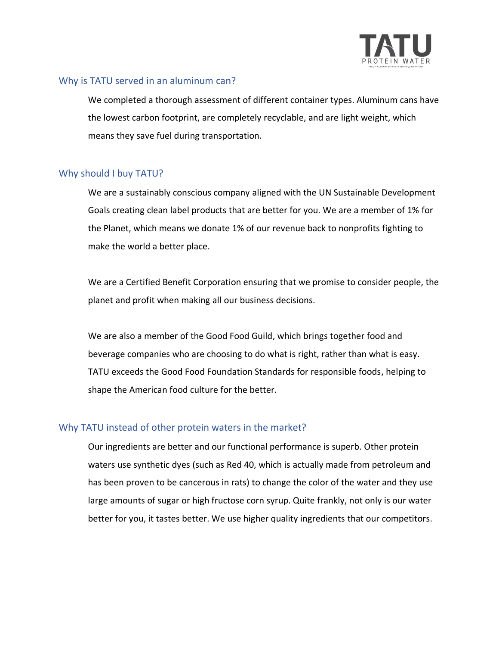

## <span id="page-3-0"></span>Why is TATU served in an aluminum can?

We completed a thorough assessment of different container types. Aluminum cans have the lowest carbon footprint, are completely recyclable, and are light weight, which means they save fuel during transportation.

## <span id="page-3-1"></span>Why should I buy TATU?

We are a sustainably conscious company aligned with the UN Sustainable Development Goals creating clean label products that are better for you. We are a member of 1% for the Planet, which means we donate 1% of our revenue back to nonprofits fighting to make the world a better place.

We are a Certified Benefit Corporation ensuring that we promise to consider people, the planet and profit when making all our business decisions.

We are also a member of the Good Food Guild, which brings together food and beverage companies who are choosing to do what is right, rather than what is easy. TATU exceeds the Good Food Foundation Standards for responsible foods, helping to shape the American food culture for the better.

# <span id="page-3-2"></span>Why TATU instead of other protein waters in the market?

Our ingredients are better and our functional performance is superb. Other protein waters use synthetic dyes (such as Red 40, which is actually made from petroleum and has been proven to be cancerous in rats) to change the color of the water and they use large amounts of sugar or high fructose corn syrup. Quite frankly, not only is our water better for you, it tastes better. We use higher quality ingredients that our competitors.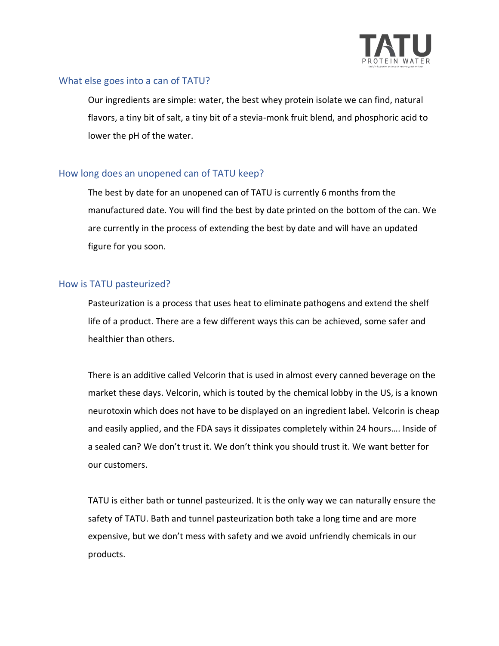

## <span id="page-4-0"></span>What else goes into a can of TATU?

Our ingredients are simple: water, the best whey protein isolate we can find, natural flavors, a tiny bit of salt, a tiny bit of a stevia-monk fruit blend, and phosphoric acid to lower the pH of the water.

## <span id="page-4-1"></span>How long does an unopened can of TATU keep?

The best by date for an unopened can of TATU is currently 6 months from the manufactured date. You will find the best by date printed on the bottom of the can. We are currently in the process of extending the best by date and will have an updated figure for you soon.

## <span id="page-4-2"></span>How is TATU pasteurized?

Pasteurization is a process that uses heat to eliminate pathogens and extend the shelf life of a product. There are a few different ways this can be achieved, some safer and healthier than others.

There is an additive called Velcorin that is used in almost every canned beverage on the market these days. Velcorin, which is touted by the chemical lobby in the US, is a known neurotoxin which does not have to be displayed on an ingredient label. Velcorin is cheap and easily applied, and the FDA says it dissipates completely within 24 hours…. Inside of a sealed can? We don't trust it. We don't think you should trust it. We want better for our customers.

TATU is either bath or tunnel pasteurized. It is the only way we can naturally ensure the safety of TATU. Bath and tunnel pasteurization both take a long time and are more expensive, but we don't mess with safety and we avoid unfriendly chemicals in our products.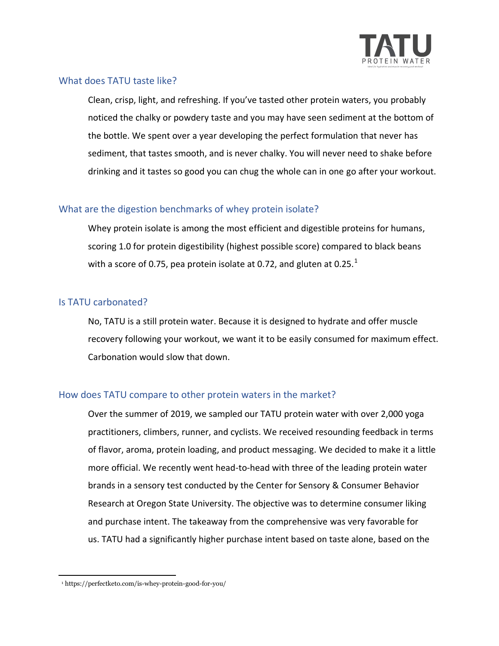

## <span id="page-5-0"></span>What does TATU taste like?

Clean, crisp, light, and refreshing. If you've tasted other protein waters, you probably noticed the chalky or powdery taste and you may have seen sediment at the bottom of the bottle. We spent over a year developing the perfect formulation that never has sediment, that tastes smooth, and is never chalky. You will never need to shake before drinking and it tastes so good you can chug the whole can in one go after your workout.

## <span id="page-5-1"></span>What are the digestion benchmarks of whey protein isolate?

Whey protein isolate is among the most efficient and digestible proteins for humans, scoring 1.0 for protein digestibility (highest possible score) compared to black beans with a score of 0.75, pea protein isolate at 0.72, and gluten at 0.25. $^1$ 

## <span id="page-5-2"></span>Is TATU carbonated?

No, TATU is a still protein water. Because it is designed to hydrate and offer muscle recovery following your workout, we want it to be easily consumed for maximum effect. Carbonation would slow that down.

# <span id="page-5-3"></span>How does TATU compare to other protein waters in the market?

Over the summer of 2019, we sampled our TATU protein water with over 2,000 yoga practitioners, climbers, runner, and cyclists. We received resounding feedback in terms of flavor, aroma, protein loading, and product messaging. We decided to make it a little more official. We recently went head-to-head with three of the leading protein water brands in a sensory test conducted by the Center for Sensory & Consumer Behavior Research at Oregon State University. The objective was to determine consumer liking and purchase intent. The takeaway from the comprehensive was very favorable for us. TATU had a significantly higher purchase intent based on taste alone, based on the

<sup>1</sup> https://perfectketo.com/is-whey-protein-good-for-you/